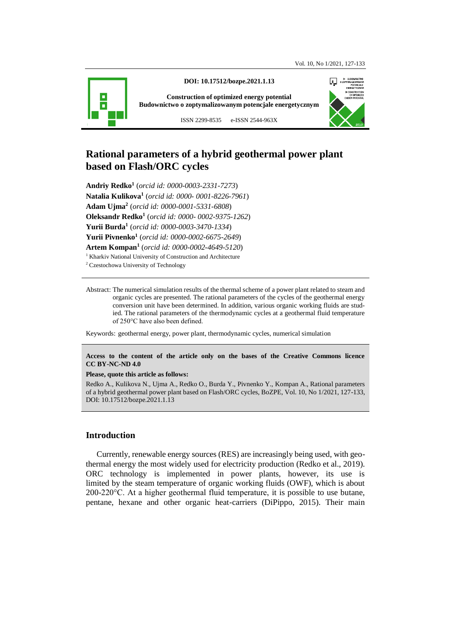

**DOI: 10.17512/bozpe.2021.1.13**

**Construction of optimized energy potential Budownictwo o zoptymalizowanym potencjale energetycznym**



ISSN 2299-8535 e-ISSN 2544-963X

# **Rational parameters of a hybrid geothermal power plant based on Flash/ORC cycles**

**Andriy Redko<sup>1</sup>** (*orcid id: 0000-0003-2331-7273*) **Natalia Kulikova<sup>1</sup>** (*orcid id: 0000- 0001-8226-7961*) **Adam Ujma<sup>2</sup>** (*orcid id: 0000-0001-5331-6808*) **Oleksandr Redko<sup>1</sup>** (*orcid id: 0000- 0002-9375-1262*) **Yurii Burda<sup>1</sup>** (*orcid id: 0000-0003-3470-1334*) **Yurii Pivnenko<sup>1</sup>** (*orcid id: 0000-0002-6675-2649*) **Artem Kompan<sup>1</sup>** (*orcid id: 0000-0002-4649-5120*) <sup>1</sup> Kharkiv National University of Construction and Architecture

<sup>2</sup> Czestochowa University of Technology

Abstract: The numerical simulation results of the thermal scheme of a power plant related to steam and organic cycles are presented. The rational parameters of the cycles of the geothermal energy conversion unit have been determined. In addition, various organic working fluids are studied. The rational parameters of the thermodynamic cycles at a geothermal fluid temperature of 250°C have also been defined.

Keywords: geothermal energy, power plant, thermodynamic cycles, numerical simulation

#### **Access to the content of the article only on the bases of the Creative Commons licence CC BY-NC-ND 4.0**

#### **Please, quote this article as follows:**

Redko A., Kulikova N., Ujma A., Redko O., Burda Y., Pivnenko Y., Kompan A., Rational parameters of a hybrid geothermal power plant based on Flash/ORC cycles, BoZPE, Vol. 10, No 1/2021, 127-133, DOI: 10.17512/bozpe.2021.1.13

## **Introduction**

Currently, renewable energy sources (RES) are increasingly being used, with geothermal energy the most widely used for electricity production (Redko et al., 2019). ORC technology is implemented in power plants, however, its use is limited by the steam temperature of organic working fluids (OWF), which is about 200-220°C. At a higher geothermal fluid temperature, it is possible to use butane, pentane, hexane and other organic heat-carriers (DiPippo, 2015). Their main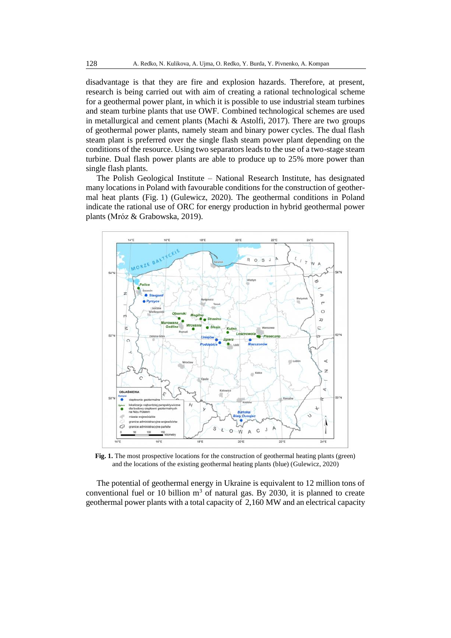disadvantage is that they are fire and explosion hazards. Therefore, at present, research is being carried out with aim of creating a rational technological scheme for a geothermal power plant, in which it is possible to use industrial steam turbines and steam turbine plants that use OWF. Combined technological schemes are used in metallurgical and cement plants (Machi & Astolfi, 2017). There are two groups of geothermal power plants, namely steam and binary power cycles. The dual flash steam plant is preferred over the single flash steam power plant depending on the conditions of the resource. Using two separators leads to the use of a two-stage steam turbine. Dual flash power plants are able to produce up to 25% more power than single flash plants.

The Polish Geological Institute – National Research Institute, has designated many locations in Poland with favourable conditions for the construction of geothermal heat plants (Fig. 1) [\(Gulewicz,](https://monitorrynkowy.pl/author/j-gulewicz/) 2020). The geothermal conditions in Poland indicate the rational use of ORC for energy production in hybrid geothermal power plants (Mróz & Grabowska, 2019).



**Fig. 1.** The most prospective locations for the construction of geothermal heating plants (green) and the locations of the existing geothermal heating plants (blue) [\(Gulewicz,](https://monitorrynkowy.pl/author/j-gulewicz/) 2020)

The potential of geothermal energy in Ukraine is equivalent to 12 million tons of conventional fuel or 10 billion  $m<sup>3</sup>$  of natural gas. By 2030, it is planned to create geothermal power plants with a total capacity of 2,160 MW and an electrical capacity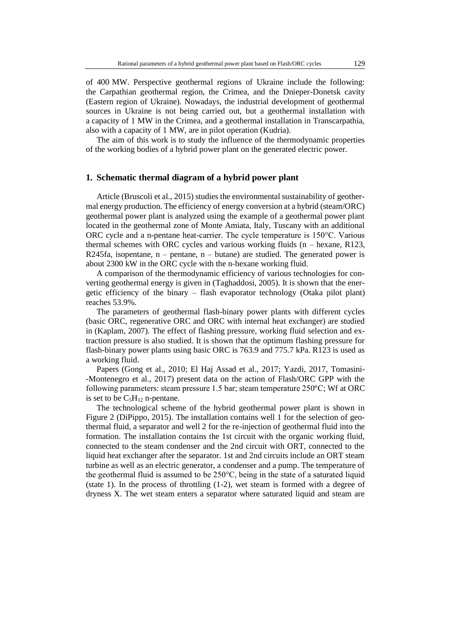of 400 MW. Perspective geothermal regions of Ukraine include the following: the Carpathian geothermal region, the Crimea, and the Dnieper-Donetsk cavity (Eastern region of Ukraine). Nowadays, the industrial development of geothermal sources in Ukraine is not being carried out, but a geothermal installation with a capacity of 1 MW in the Crimea, and a geothermal installation in Transcarpathia, also with a capacity of 1 MW, are in pilot operation (Kudria).

The aim of this work is to study the influence of the thermodynamic properties of the working bodies of a hybrid power plant on the generated electric power.

#### **1. Schematic thermal diagram of a hybrid power plant**

Article (Bruscoli et al., 2015) studies the environmental sustainability of geothermal energy production. The efficiency of energy conversion at a hybrid (steam/ORC) geothermal power plant is analyzed using the example of a geothermal power plant located in the geothermal zone of Monte Amiata, Italy, Tuscany with an additional ORC cycle and a n-pentane heat-carrier. The cycle temperature is 150°C. Various thermal schemes with ORC cycles and various working fluids (n – hexane, R123, R245fa, isopentane,  $n -$  pentane,  $n -$  butane) are studied. The generated power is about 2300 kW in the ORC cycle with the n-hexane working fluid.

A comparison of the thermodynamic efficiency of various technologies for converting geothermal energy is given in (Taghaddosi, 2005). It is shown that the energetic efficiency of the binary – flash evaporator technology (Otaka pilot plant) reaches 53.9%.

The parameters of geothermal flash-binary power plants with different cycles (basic ORC, regenerative ORC and ORC with internal heat exchanger) are studied in (Kaplam, 2007). The effect of flashing pressure, working fluid selection and extraction pressure is also studied. It is shown that the optimum flashing pressure for flash-binary power plants using basic ORC is 763.9 and 775.7 kPa. R123 is used as a working fluid.

Papers (Gong et al., 2010; El Haj Assad et al., 2017; Yazdi, 2017, Tomasini- -Montenegro et al., 2017) present data on the action of Flash/ORC GPP with the following parameters: steam pressure 1.5 bar; steam temperature 250ºС; Wf at ORC is set to be  $C_5H_{12}$  n-pentane.

The technological scheme of the hybrid geothermal power plant is shown in Figure 2 (DiPippo, 2015). The installation contains well 1 for the selection of geothermal fluid, a separator and well 2 for the re-injection of geothermal fluid into the formation. The installation contains the 1st circuit with the organic working fluid, connected to the steam condenser and the 2nd circuit with ORT, connected to the liquid heat exchanger after the separator. 1st and 2nd circuits include an ORT steam turbine as well as an electric generator, a condenser and a pump. The temperature of the geothermal fluid is assumed to be 250°C, being in the state of a saturated liquid (state 1). In the process of throttling (1-2), wet steam is formed with a degree of dryness X. The wet steam enters a separator where saturated liquid and steam are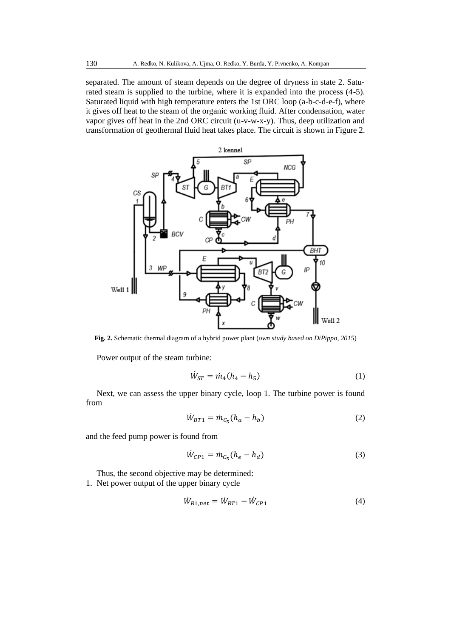separated. The amount of steam depends on the degree of dryness in state 2. Saturated steam is supplied to the turbine, where it is expanded into the process (4-5). Saturated liquid with high temperature enters the 1st ORC loop (a-b-c-d-e-f), where it gives off heat to the steam of the organic working fluid. After condensation, water vapor gives off heat in the 2nd ORC circuit (u-v-w-x-y). Thus, deep utilization and transformation of geothermal fluid heat takes place. The circuit is shown in Figure 2.



**Fig. 2.** Schematic thermal diagram of a hybrid power plant (*own study based on DiPippo, 2015*)

Power output of the steam turbine:

$$
\dot{W}_{ST} = \dot{m}_4 (h_4 - h_5) \tag{1}
$$

Next, we can assess the upper binary cycle, loop 1. The turbine power is found from

$$
\dot{W}_{BT1} = \dot{m}_{C_5}(h_a - h_b) \tag{2}
$$

and the feed pump power is found from

$$
\dot{W}_{CP1} = \dot{m}_{C_5}(h_e - h_d) \tag{3}
$$

Thus, the second objective may be determined: 1. Net power output of the upper binary cycle

$$
\dot{W}_{B1,net} = \dot{W}_{BT1} - \dot{W}_{CP1} \tag{4}
$$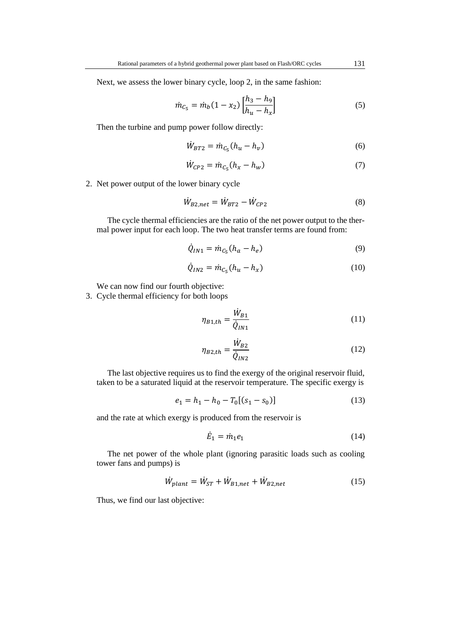Next, we assess the lower binary cycle, loop 2, in the same fashion:

$$
\dot{m}_{C_5} = \dot{m}_b (1 - x_2) \left[ \frac{h_3 - h_9}{h_u - h_x} \right] \tag{5}
$$

Then the turbine and pump power follow directly:

$$
\dot{W}_{BT2} = \dot{m}_{C_5}(h_u - h_v) \tag{6}
$$

$$
\dot{W}_{CP2} = \dot{m}_{C_5}(h_x - h_w) \tag{7}
$$

2. Net power output of the lower binary cycle

$$
\dot{W}_{B2,net} = \dot{W}_{BT2} - \dot{W}_{CP2} \tag{8}
$$

The cycle thermal efficiencies are the ratio of the net power output to the thermal power input for each loop. The two heat transfer terms are found from:

$$
\dot{Q}_{IN1} = \dot{m}_{C_5}(h_a - h_e)
$$
\n(9)

$$
\dot{Q}_{IN2} = \dot{m}_{C_5}(h_u - h_x) \tag{10}
$$

We can now find our fourth objective:

3. Cycle thermal efficiency for both loops

$$
\eta_{B1,th} = \frac{\dot{W}_{B1}}{\dot{Q}_{IN1}}\tag{11}
$$

$$
\eta_{B2,th} = \frac{\dot{W}_{B2}}{\dot{Q}_{IN2}}\tag{12}
$$

The last objective requires us to find the exergy of the original reservoir fluid, taken to be a saturated liquid at the reservoir temperature. The specific exergy is

$$
e_1 = h_1 - h_0 - T_0[(s_1 - s_0)] \tag{13}
$$

and the rate at which exergy is produced from the reservoir is

$$
\dot{E}_1 = \dot{m}_1 e_1 \tag{14}
$$

The net power of the whole plant (ignoring parasitic loads such as cooling tower fans and pumps) is

$$
\dot{W}_{plant} = \dot{W}_{ST} + \dot{W}_{B1,net} + \dot{W}_{B2,net}
$$
\n(15)

Thus, we find our last objective: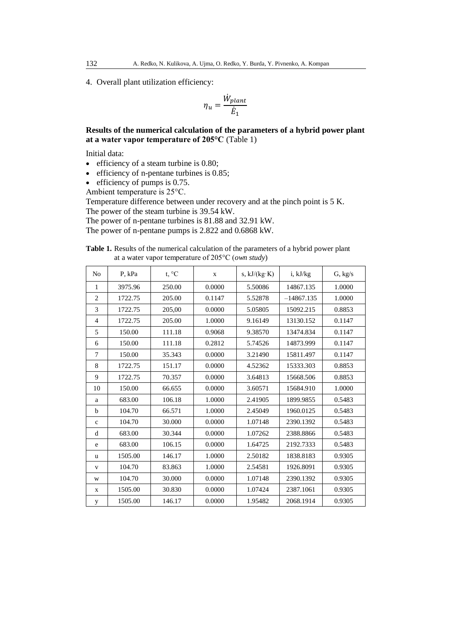4. Overall plant utilization efficiency:

$$
\eta_u = \frac{\dot{W}_{plant}}{\dot{E}_1}
$$

## **Results of the numerical calculation of the parameters of a hybrid power plant at a water vapor temperature of 205°C** (Table 1)

Initial data:

- efficiency of a steam turbine is 0.80;
- efficiency of n-pentane turbines is 0.85;
- efficiency of pumps is 0.75.

Ambient temperature is 25°C.

Temperature difference between under recovery and at the pinch point is 5 K. The power of the steam turbine is 39.54 kW.

The power of n-pentane turbines is 81.88 and 32.91 kW.

The power of n-pentane pumps is 2.822 and 0.6868 kW.

| <b>Table 1.</b> Results of the numerical calculation of the parameters of a hybrid power plant |
|------------------------------------------------------------------------------------------------|
| at a water vapor temperature of $205^{\circ}$ C ( <i>own study</i> )                           |

| No             | P, kPa  | t, °C  | $\mathbf{X}$ | s, $kJ/(kg·K)$ | i, kJ/kg     | G, kg/s |
|----------------|---------|--------|--------------|----------------|--------------|---------|
| 1              | 3975.96 | 250.00 | 0.0000       | 5.50086        | 14867.135    | 1.0000  |
| $\overline{2}$ | 1722.75 | 205.00 | 0.1147       | 5.52878        | $-14867.135$ | 1.0000  |
| 3              | 1722.75 | 205,00 | 0.0000       | 5.05805        | 15092.215    | 0.8853  |
| $\overline{4}$ | 1722.75 | 205.00 | 1.0000       | 9.16149        | 13130.152    | 0.1147  |
| 5              | 150.00  | 111.18 | 0.9068       | 9.38570        | 13474.834    | 0.1147  |
| 6              | 150.00  | 111.18 | 0.2812       | 5.74526        | 14873.999    | 0.1147  |
| 7              | 150.00  | 35.343 | 0.0000       | 3.21490        | 15811.497    | 0.1147  |
| 8              | 1722.75 | 151.17 | 0.0000       | 4.52362        | 15333.303    | 0.8853  |
| 9              | 1722.75 | 70.357 | 0.0000       | 3.64813        | 15668.506    | 0.8853  |
| 10             | 150.00  | 66.655 | 0.0000       | 3.60571        | 15684.910    | 1.0000  |
| a              | 683.00  | 106.18 | 1.0000       | 2.41905        | 1899.9855    | 0.5483  |
| b              | 104.70  | 66.571 | 1.0000       | 2.45049        | 1960.0125    | 0.5483  |
| $\mathbf{C}$   | 104.70  | 30.000 | 0.0000       | 1.07148        | 2390.1392    | 0.5483  |
| d              | 683.00  | 30.344 | 0.0000       | 1.07262        | 2388.8866    | 0.5483  |
| e              | 683.00  | 106.15 | 0.0000       | 1.64725        | 2192.7333    | 0.5483  |
| u              | 1505.00 | 146.17 | 1.0000       | 2.50182        | 1838.8183    | 0.9305  |
| $\mathbf{V}$   | 104.70  | 83.863 | 1.0000       | 2.54581        | 1926.8091    | 0.9305  |
| W              | 104.70  | 30.000 | 0.0000       | 1.07148        | 2390.1392    | 0.9305  |
| X              | 1505.00 | 30.830 | 0.0000       | 1.07424        | 2387.1061    | 0.9305  |
| y              | 1505.00 | 146.17 | 0.0000       | 1.95482        | 2068.1914    | 0.9305  |